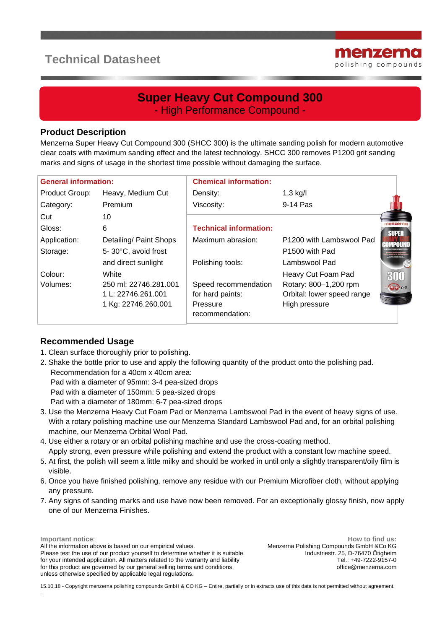# **Technical Datasheet**



## **Super Heavy Cut Compound 300** - High Performance Compound -

#### **Product Description**

Menzerna Super Heavy Cut Compound 300 (SHCC 300) is the ultimate sanding polish for modern automotive clear coats with maximum sanding effect and the latest technology. SHCC 300 removes P1200 grit sanding marks and signs of usage in the shortest time possible without damaging the surface.

| <b>General information:</b> |                                             | <b>Chemical information:</b>             |                                                     |                         |  |
|-----------------------------|---------------------------------------------|------------------------------------------|-----------------------------------------------------|-------------------------|--|
| Product Group:              | Heavy, Medium Cut                           | Density:                                 | $1,3$ kg/l                                          |                         |  |
| Category:                   | Premium                                     | Viscosity:                               | 9-14 Pas                                            |                         |  |
| Cut                         | 10                                          |                                          |                                                     |                         |  |
| Gloss:                      | 6                                           | <b>Technical information:</b>            |                                                     | enzerna<br><b>SUPER</b> |  |
| Application:                | Detailing/ Paint Shops                      | Maximum abrasion:                        | P1200 with Lambswool Pad                            |                         |  |
| Storage:                    | 5-30°C, avoid frost                         |                                          | P <sub>1500</sub> with Pad                          |                         |  |
|                             | and direct sunlight                         | Polishing tools:                         | Lambswool Pad                                       |                         |  |
| Colour:                     | White                                       |                                          | Heavy Cut Foam Pad                                  |                         |  |
| Volumes:                    | 250 ml: 22746.281.001<br>1 L: 22746.261.001 | Speed recommendation<br>for hard paints: | Rotary: 800-1,200 rpm<br>Orbital: lower speed range | 00 00                   |  |
|                             | 1 Kg: 22746.260.001                         | Pressure                                 | High pressure                                       |                         |  |
|                             |                                             | recommendation:                          |                                                     |                         |  |

#### **Recommended Usage**

.

- 1. Clean surface thoroughly prior to polishing.
- 2. Shake the bottle prior to use and apply the following quantity of the product onto the polishing pad. Recommendation for a 40cm x 40cm area: Pad with a diameter of 95mm: 3-4 pea-sized drops
	-
	- Pad with a diameter of 150mm: 5 pea-sized drops
	- Pad with a diameter of 180mm: 6-7 pea-sized drops
- 3. Use the Menzerna Heavy Cut Foam Pad or Menzerna Lambswool Pad in the event of heavy signs of use. With a rotary polishing machine use our Menzerna Standard Lambswool Pad and, for an orbital polishing machine, our Menzerna Orbital Wool Pad.
- 4. Use either a rotary or an orbital polishing machine and use the cross-coating method. Apply strong, even pressure while polishing and extend the product with a constant low machine speed.
- 5. At first, the polish will seem a little milky and should be worked in until only a slightly transparent/oily film is visible.
- 6. Once you have finished polishing, remove any residue with our Premium Microfiber cloth, without applying any pressure.
- 7. Any signs of sanding marks and use have now been removed. For an exceptionally glossy finish, now apply one of our Menzerna Finishes.

**Important notice**: All the information above is based on our empirical values. Please test the use of our product yourself to determine whether it is suitable for your intended application. All matters related to the warranty and liability for this product are governed by our general selling terms and conditions, unless otherwise specified by applicable legal regulations.

**How to find us:** Menzerna Polishing Compounds GmbH &Co KG Industriestr. 25, D-76470 Ötigheim Tel.: +49-7222-9157-0 office@menzerna.com

15.10.18 - Copyright menzerna polishing compounds GmbH & CO KG – Entire, partially or in extracts use of this data is not permitted without agreement.